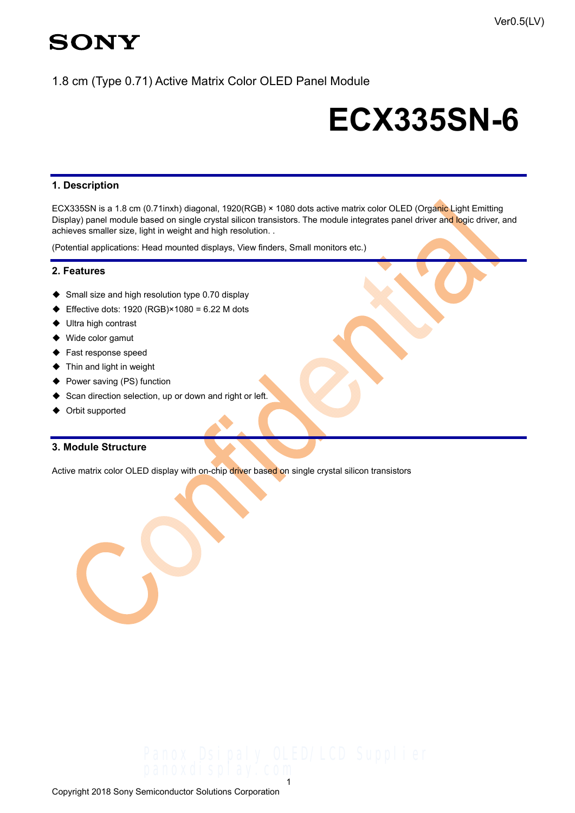## 1.8 cm (Type 0.71) Active Matrix Color OLED Panel Module

# **ECX335SN-6**

## **1. Description**

ECX335SN is a 1.8 cm (0.71inxh) diagonal, 1920(RGB) × 1080 dots active matrix color OLED (Organic Light Emitting Display) panel module based on single crystal silicon transistors. The module integrates panel driver and logic driver, and achieves smaller size, light in weight and high resolution. .

(Potential applications: Head mounted displays, View finders, Small monitors etc.)

### **2. Features**

- ◆ Small size and high resolution type 0.70 display
- ◆ Effective dots: 1920 (RGB)×1080 = 6.22 M dots
- ◆ Ultra high contrast
- ◆ Wide color gamut
- ◆ Fast response speed
- ◆ Thin and light in weight
- ◆ Power saving (PS) function
- ◆ Scan direction selection, up or down and right or left.
- ◆ Orbit supported

## **3. Module Structure**

Active matrix color OLED display with on-chip driver based on single crystal silicon transistors

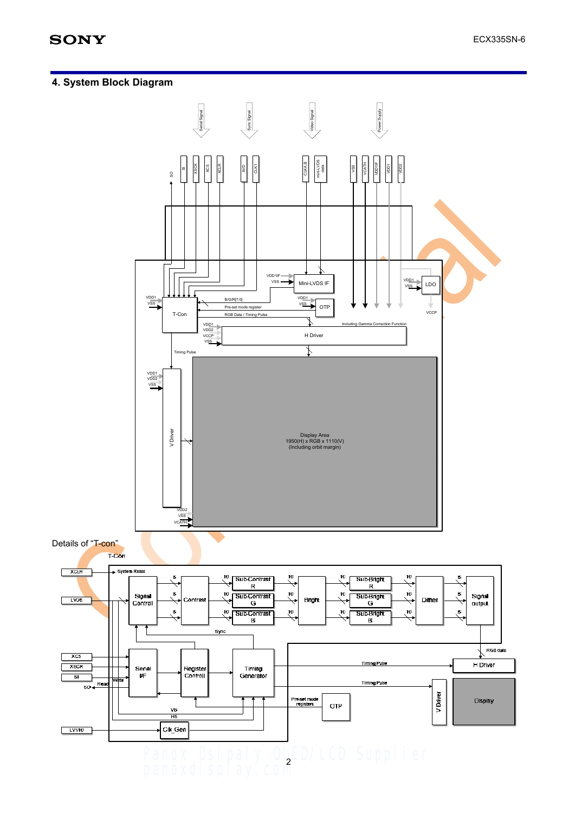## **4. System Block Diagram**

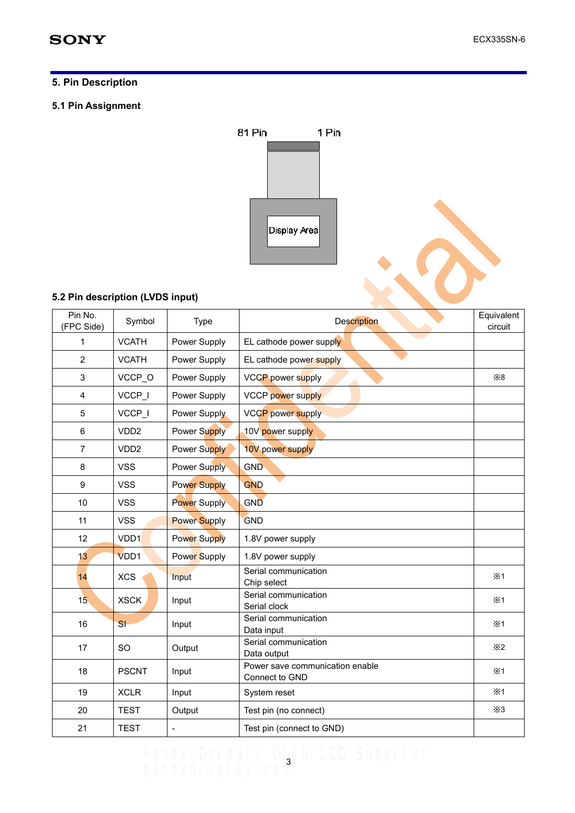## **5. Pin Description**

#### **5.1 Pin Assignment**



## **5.2 Pin description (LVDS input)**

|                                  |                  |                     | Display Area                                      |                       |
|----------------------------------|------------------|---------------------|---------------------------------------------------|-----------------------|
| 5.2 Pin description (LVDS input) |                  |                     |                                                   |                       |
| Pin No.<br>(FPC Side)            | Symbol           | Type                | <b>Description</b>                                | Equivalent<br>circuit |
| 1                                | <b>VCATH</b>     | Power Supply        | EL cathode power supply                           |                       |
| $\overline{2}$                   | <b>VCATH</b>     | Power Supply        | EL cathode power supply                           |                       |
| 3                                | VCCP_O           | Power Supply        | VCCP power supply                                 | $\times 8$            |
| 4                                | VCCP_I           | Power Supply        | VCCP power supply                                 |                       |
| 5                                | VCCP_I           | Power Supply        | <b>VCCP power supply</b>                          |                       |
| 6                                | VDD <sub>2</sub> | <b>Power Supply</b> | 10V power supply                                  |                       |
| $\overline{7}$                   | VDD <sub>2</sub> | <b>Power Supply</b> | 10V power supply                                  |                       |
| 8                                | <b>VSS</b>       | Power Supply        | GND                                               |                       |
| 9                                | <b>VSS</b>       | <b>Power Supply</b> | <b>GND</b>                                        |                       |
| 10                               | <b>VSS</b>       | <b>Power Supply</b> | GND                                               |                       |
| 11                               | <b>VSS</b>       | <b>Power Supply</b> | <b>GND</b>                                        |                       |
| 12                               | VDD <sub>1</sub> | <b>Power Supply</b> | 1.8V power supply                                 |                       |
| 13                               | VDD1             | Power Supply        | 1.8V power supply                                 |                       |
| 14                               | <b>XCS</b>       | Input               | Serial communication<br>Chip select               | ×1                    |
| 15 <sub>2</sub>                  | <b>XSCK</b>      | Input               | Serial communication<br>Serial clock              | ×1                    |
| 16                               | SI               | Input               | Serial communication<br>Data input                | $\times$ 1            |
| 17                               | SO               | Output              | Serial communication<br>Data output               | $\times 2$            |
| 18                               | <b>PSCNT</b>     | Input               | Power save communication enable<br>Connect to GND | $\times$ 1            |
| 19                               | <b>XCLR</b>      | Input               | System reset                                      | $\times$ 1            |
| 20                               | <b>TEST</b>      | Output              | Test pin (no connect)                             | $\times3$             |
| 21                               | <b>TEST</b>      | $\overline{a}$      | Test pin (connect to GND)                         |                       |

## Panox Dsipaly OLBED/LCD Supplier panoxdisplay.com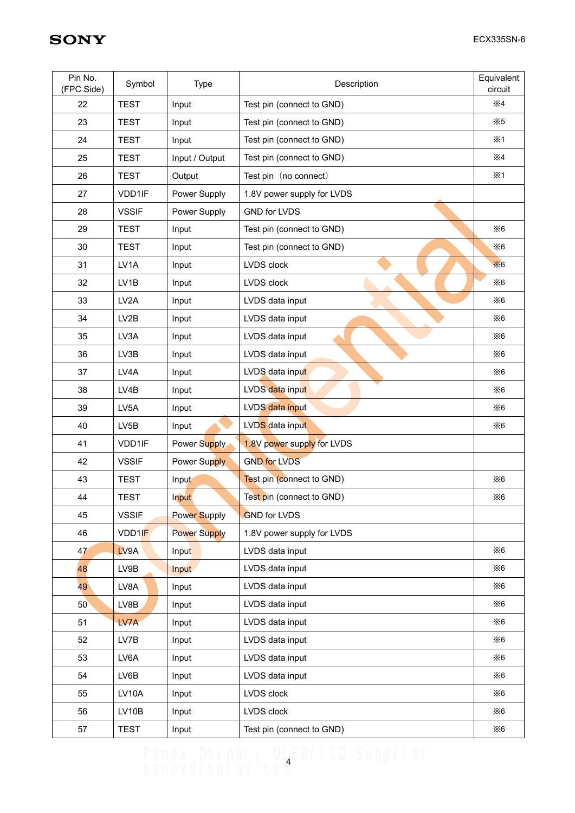| Pin No.<br>(FPC Side) | Symbol            | <b>Type</b>         | Description                | Equivalent<br>circuit |
|-----------------------|-------------------|---------------------|----------------------------|-----------------------|
| 22                    | <b>TEST</b>       | Input               | Test pin (connect to GND)  | $\times 4$            |
| 23                    | <b>TEST</b>       | Input               | Test pin (connect to GND)  | $\times 5$            |
| 24                    | <b>TEST</b>       | Input               | Test pin (connect to GND)  | $\times$ 1            |
| 25                    | <b>TEST</b>       | Input / Output      | Test pin (connect to GND)  | $\times 4$            |
| 26                    | <b>TEST</b>       | Output              | Test pin (no connect)      | ×1                    |
| 27                    | VDD1IF            | Power Supply        | 1.8V power supply for LVDS |                       |
| 28                    | <b>VSSIF</b>      | Power Supply        | <b>GND for LVDS</b>        |                       |
| 29                    | <b>TEST</b>       | Input               | Test pin (connect to GND)  | $\times 6$            |
| 30                    | <b>TEST</b>       | Input               | Test pin (connect to GND)  | $\times 6$            |
| 31                    | LV <sub>1</sub> A | Input               | LVDS clock                 | $\times 6$            |
| 32                    | LV1B              | Input               | LVDS clock                 | $\times 6$            |
| 33                    | LV <sub>2</sub> A | Input               | LVDS data input            | $\times 6$            |
| 34                    | LV2B              | Input               | LVDS data input            | $\times 6$            |
| 35                    | LV3A              | Input               | LVDS data input            | $\times 6$            |
| 36                    | LV3B              | Input               | LVDS data input            | $\times 6$            |
| 37                    | LV4A              | Input               | LVDS data input            | $\times 6$            |
| 38                    | LV4B              | Input               | LVDS data input            | $\times 6$            |
| 39                    | LV <sub>5</sub> A | Input               | LVDS data input            | $\times 6$            |
| 40                    | LV5B              | Input               | LVDS data input            | $\times 6$            |
| 41                    | VDD1IF            | Power Supply        | 1.8V power supply for LVDS |                       |
| 42                    | <b>VSSIF</b>      | Power Supply        | <b>GND for LVDS</b>        |                       |
| 43                    | <b>TEST</b>       | Input               | Test pin (connect to GND)  | $\times 6$            |
| 44                    | <b>TEST</b>       | Input               | Test pin (connect to GND)  | $\times 6$            |
| 45                    | <b>VSSIF</b>      | <b>Power Supply</b> | <b>GND for LVDS</b>        |                       |
| 46                    | VDD1IF            | <b>Power Supply</b> | 1.8V power supply for LVDS |                       |
| 47                    | LV9A              | Input               | LVDS data input            | $\times 6$            |
| 48                    | LV9B              | Input               | LVDS data input            | $\times 6$            |
| 49                    | LV8A              | Input               | LVDS data input            | $\times 6$            |
| 50                    | LV8B              | Input               | LVDS data input            | $\times 6$            |
| 51                    | LV7A              | Input               | LVDS data input            | $\times 6$            |
| 52                    | LV7B              | Input               | LVDS data input            | $\times 6$            |
| 53                    | LV6A              | Input               | LVDS data input            | $\times 6$            |
| 54                    | LV6B              | Input               | LVDS data input            | $\times 6$            |
| 55                    | LV10A             | Input               | LVDS clock                 | $\times 6$            |
| 56                    | LV10B             | Input               | LVDS clock                 | $\times 6$            |
| 57                    | <b>TEST</b>       | Input               | Test pin (connect to GND)  | $\times 6$            |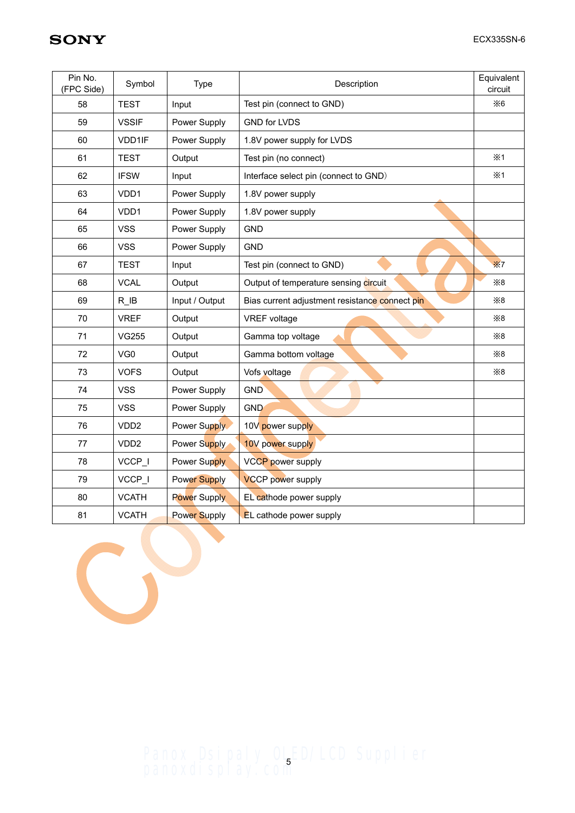| Pin No.<br>(FPC Side) | Symbol           | <b>Type</b>         | Description                                    | Equivalent<br>circuit |
|-----------------------|------------------|---------------------|------------------------------------------------|-----------------------|
| 58                    | <b>TEST</b>      | Input               | Test pin (connect to GND)                      | $\times 6$            |
| 59                    | <b>VSSIF</b>     | Power Supply        | <b>GND for LVDS</b>                            |                       |
| 60                    | VDD1IF           | Power Supply        | 1.8V power supply for LVDS                     |                       |
| 61                    | <b>TEST</b>      | Output              | Test pin (no connect)                          | $\times 1$            |
| 62                    | <b>IFSW</b>      | Input               | Interface select pin (connect to GND)          | $\times$ 1            |
| 63                    | VDD <sub>1</sub> | Power Supply        | 1.8V power supply                              |                       |
| 64                    | VDD1             | Power Supply        | 1.8V power supply                              |                       |
| 65                    | <b>VSS</b>       | Power Supply        | <b>GND</b>                                     |                       |
| 66                    | <b>VSS</b>       | Power Supply        | <b>GND</b>                                     |                       |
| 67                    | <b>TEST</b>      | Input               | Test pin (connect to GND)                      | $\times 7$            |
| 68                    | <b>VCAL</b>      | Output              | Output of temperature sensing circuit          | $\times 8$            |
| 69                    | R IB             | Input / Output      | Bias current adjustment resistance connect pin | $\times 8$            |
| 70                    | <b>VREF</b>      | Output              | <b>VREF</b> voltage                            | $\times 8$            |
| 71                    | <b>VG255</b>     | Output              | Gamma top voltage                              | $\times 8$            |
| 72                    | VG <sub>0</sub>  | Output              | Gamma bottom voltage                           | $\times 8$            |
| 73                    | <b>VOFS</b>      | Output              | Vofs voltage                                   | $\times 8$            |
| 74                    | <b>VSS</b>       | Power Supply        | <b>GND</b>                                     |                       |
| 75                    | <b>VSS</b>       | Power Supply        | <b>GND</b>                                     |                       |
| 76                    | VDD <sub>2</sub> | Power Supply        | 10V power supply                               |                       |
| 77                    | VDD <sub>2</sub> | Power Supply        | 10V power supply                               |                       |
| 78                    | VCCP_I           | Power Supply        | <b>VCCP</b> power supply                       |                       |
| 79                    | VCCP_I           | <b>Power Supply</b> | <b>VCCP</b> power supply                       |                       |
| 80                    | <b>VCATH</b>     | <b>Power Supply</b> | EL cathode power supply                        |                       |
| 81                    | <b>VCATH</b>     | <b>Power Supply</b> | EL cathode power supply                        |                       |



Panox Dsipaly OLED/LCD Supplier panoxdisplay.com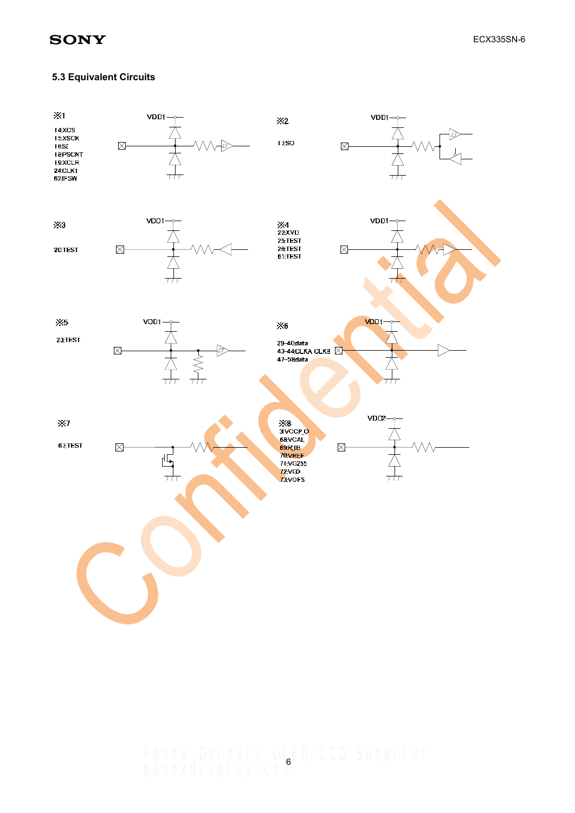#### **5.3 Equivalent Circuits**



Panox Dsipaly OLED/LCD Supplier panoxdisplay.com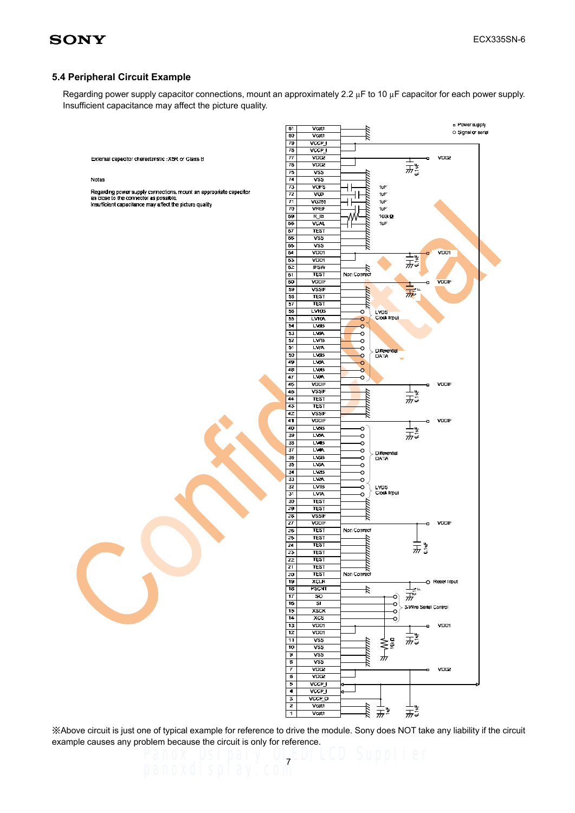#### **5.4 Peripheral Circuit Example**

Regarding power supply capacitor connections, mount an approximately 2.2  $\mu$ F to 10  $\mu$ F capacitor for each power supply. Insufficient capacitance may affect the picture quality.



※Above circuit is just one of typical example for reference to drive the module. Sony does NOT take any liability if the circuit example causes any problem because the circuit is only for reference.<br>Panox DSIDaly OLED/LCD Supplier

7

panoxdisplay.com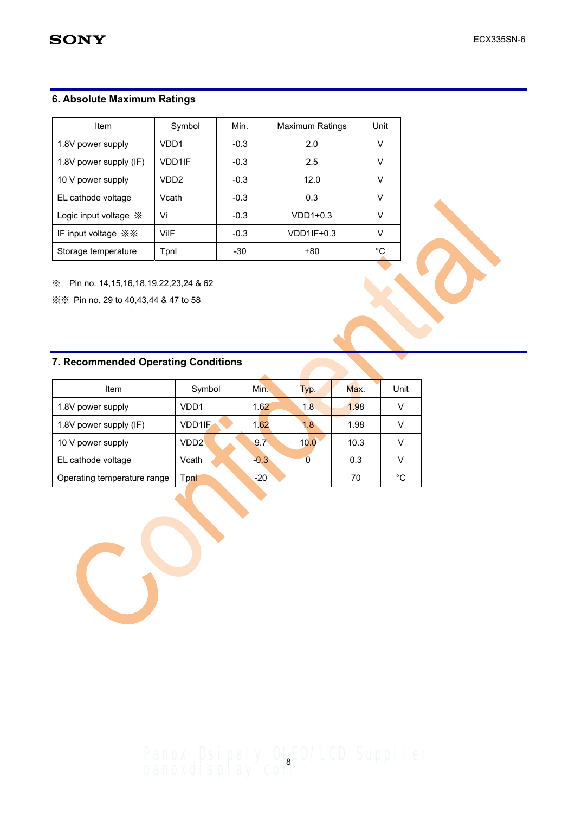## **6. Absolute Maximum Ratings**

| Item                                    | Symbol           | Min.   | <b>Maximum Ratings</b> | Unit   |
|-----------------------------------------|------------------|--------|------------------------|--------|
| 1.8V power supply                       | VDD1             | $-0.3$ | 2.0                    | V      |
| 1.8V power supply (IF)                  | <b>VDD1IF</b>    | $-0.3$ | 2.5                    | v      |
| 10 V power supply                       | VDD <sub>2</sub> | $-0.3$ | 12.0                   | v      |
| EL cathode voltage                      | Vcath            | $-0.3$ | 0.3                    | v      |
| Logic input voltage $\mathbb X$         | Vi               | $-0.3$ | $VDD1+0.3$             | $\vee$ |
| IF input voltage $\mathbb{X}\mathbb{X}$ | ViIF             | $-0.3$ | $VDD1IF+0.3$           | v      |
| Storage temperature                     | Tpnl             | $-30$  | +80                    | °C     |

※ Pin no. 14,15,16,18,19,22,23,24 & 62

※※ Pin no. 29 to 40,43,44 & 47 to 58

## **7. Recommended Operating Conditions**

| Item                        | Symbol        | Min.   | Typ. | Max. | Unit |
|-----------------------------|---------------|--------|------|------|------|
| 1.8V power supply           | VDD1          | 1.62   | 1.8  | 1.98 |      |
| 1.8V power supply (IF)      | <b>VDD1IF</b> | 1.62   | 1.8  | 1.98 |      |
| 10 V power supply           | VDD2'         | 9.7    | 10.0 | 10.3 |      |
| EL cathode voltage          | Vcath         | $-0.3$ |      | 0.3  |      |
| Operating temperature range | <b>Fonl</b>   | -20    |      | 70   | °C   |

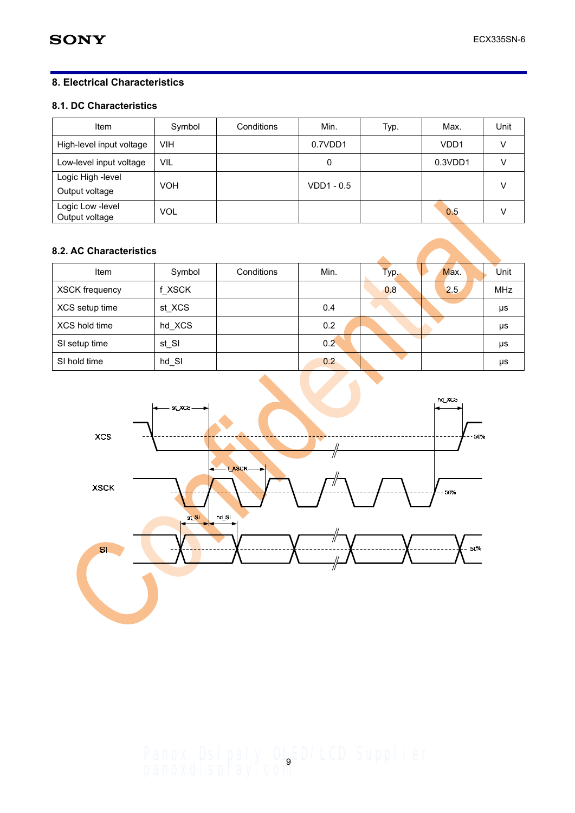## **8. Electrical Characteristics**

## **8.1. DC Characteristics**

| Item                                | Symbol     | Conditions | Min.         | Typ. | Max.             | Unit |
|-------------------------------------|------------|------------|--------------|------|------------------|------|
| High-level input voltage            | <b>VIH</b> |            | 0.7VDD1      |      | VDD <sub>1</sub> |      |
| Low-level input voltage             | <b>VIL</b> |            | 0            |      | 0.3VDD1          |      |
| Logic High -level<br>Output voltage | <b>VOH</b> |            | $VDD1 - 0.5$ |      |                  |      |
| Logic Low -level<br>Output voltage  | <b>VOL</b> |            |              |      | 0.5              |      |

## **8.2. AC Characteristics**

| Item                  | Symbol              | Conditions | Min.          | Typ. | Max.<br>Unit      |
|-----------------------|---------------------|------------|---------------|------|-------------------|
| <b>XSCK frequency</b> | f XSCK              |            |               | 0.8  | <b>MHz</b><br>2.5 |
| XCS setup time        | st XCS              |            | 0.4           |      | μs                |
| XCS hold time         | hd_XCS              |            | 0.2           |      | μs                |
| SI setup time         | st_SI               |            | $0.2^{\circ}$ |      | μs                |
| SI hold time          | $hd$ <sub>_SI</sub> |            | 0.2           |      | μs                |



Panox Dsipaly OLED/LCD Supplier panoxdisplay.com